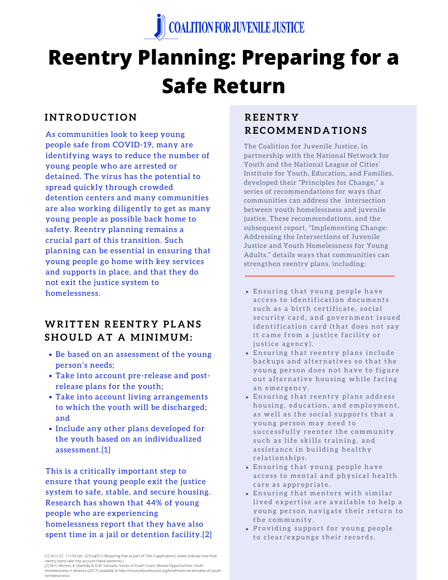

# **Reentry Planning: Preparing for a Safe Return**

## **I N TR O D U C T I O N**

As communities look to keep young people safe from COVID-19, many are identifying ways to reduce the number of young people who are arrested or detained. The virus has the potential to spread quickly through crowded detention centers and many communities are also working diligently to get as many young people as possible back home to safety. Reentry planning remains a crucial part of this transition. Such planning can be essential in ensuring that young people go home with key services and supports in place, and that they do not exit the justice system to homelessness.

## **WRITTEN REENTRY PLANS S H O U L D A T A MI N IMUM:**

- Be based on an assessment of the young person's needs;
- Take into account pre-release and postrelease plans for the youth;
- Take into account living arrangements to which the youth will be discharged; and
- Include any other plans developed for the youth based on an individualized assessment.[1]

This is a critically important step to ensure that young people exit the justice system to safe, stable, and secure housing. Research has shown that 44% of young people who are experiencing homelessness report that they have also spent time in a jail or detention facility.[2]

[2] M.H. Morton, A. Dworsky & G.M. Samuels, Voices of Youth Count, Missed Opportunities: Youth Homelessness in America (2017), available at http://voicesofyouthcount.org/brief/national-etimates-of-youthhomelessness/.

# **RE E N TR Y RE C OMME N D A T I O N S**

The Coalition for Juvenile Justice, in partnership with the National Network for Youth and the National League of Cities' Institute for Youth, Education, and Families, developed their "Principles for Change," a series of recommendations for ways that communities can address the intersection between youth homelessness and juvenile justice. These recommendations, and the subsequent report, "Implementing Change: Addressing the Intersections of Juvenile Justice and Youth Homelessness for Young Adults," details ways that communities can strengthen reentry plans, including:

- Ensuring that young people have access to identification documents such as a birth certificate, social security card, and government issued identification card (that does not say it came from a justice facility or justice agency).
- Ensuring that reentry plans include backups and alternatives so that the young person does not have to figure out alternative housing while facing an emergency.
- Ensuring that reentry plans address housing, education, and employment, as well as the social supports that a young person may need to successfully reenter the community such as life skills training, and assistance in building healthy r e lationships.
- Ensuring that young people have access to mental and physical health care as appropriate.
- Ensuring that mentors with similar lived expertise are available to help a young person navigate their return to the community.
- Providing support for young people to clear/expunge their records.